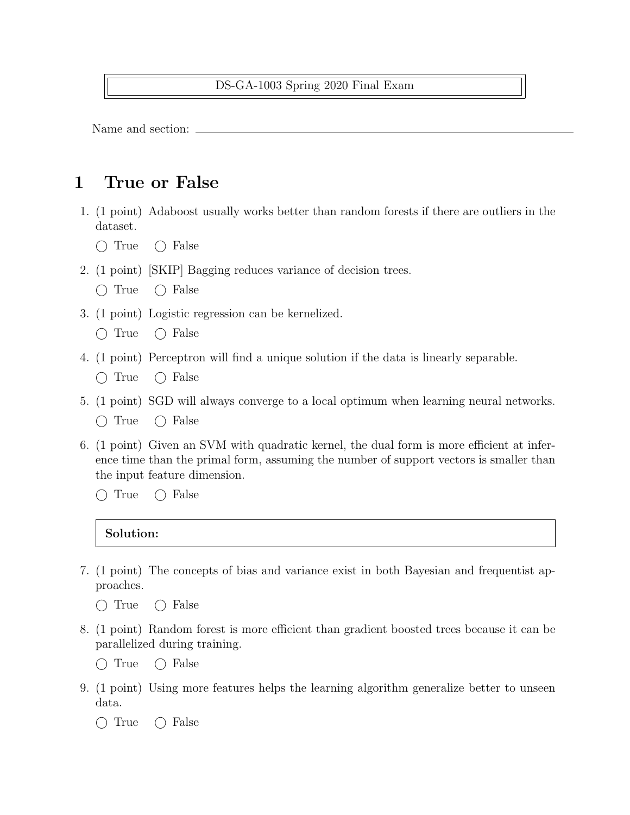## DS-GA-1003 Spring 2020 Final Exam

Name and section:

# 1 True or False

- 1. (1 point) Adaboost usually works better than random forests if there are outliers in the dataset.
	- $\bigcap$  True  $\bigcap$  False
- 2. (1 point) [SKIP] Bagging reduces variance of decision trees.
	- $\bigcap$  True  $\bigcap$  False
- 3. (1 point) Logistic regression can be kernelized.
	- $\bigcap$  True  $\bigcap$  False
- 4. (1 point) Perceptron will find a unique solution if the data is linearly separable.
	- $\bigcap$  True  $\bigcap$  False
- 5. (1 point) SGD will always converge to a local optimum when learning neural networks.
	- $\bigcap$  True  $\bigcap$  False
- 6. (1 point) Given an SVM with quadratic kernel, the dual form is more efficient at inference time than the primal form, assuming the number of support vectors is smaller than the input feature dimension.
	- $\bigcap$  True  $\bigcap$  False

- 7. (1 point) The concepts of bias and variance exist in both Bayesian and frequentist approaches.
	- $\bigcap$  True  $\bigcap$  False
- 8. (1 point) Random forest is more efficient than gradient boosted trees because it can be parallelized during training.
	- $\bigcap$  True  $\bigcap$  False
- 9. (1 point) Using more features helps the learning algorithm generalize better to unseen data.
	- $\bigcap$  True  $\bigcap$  False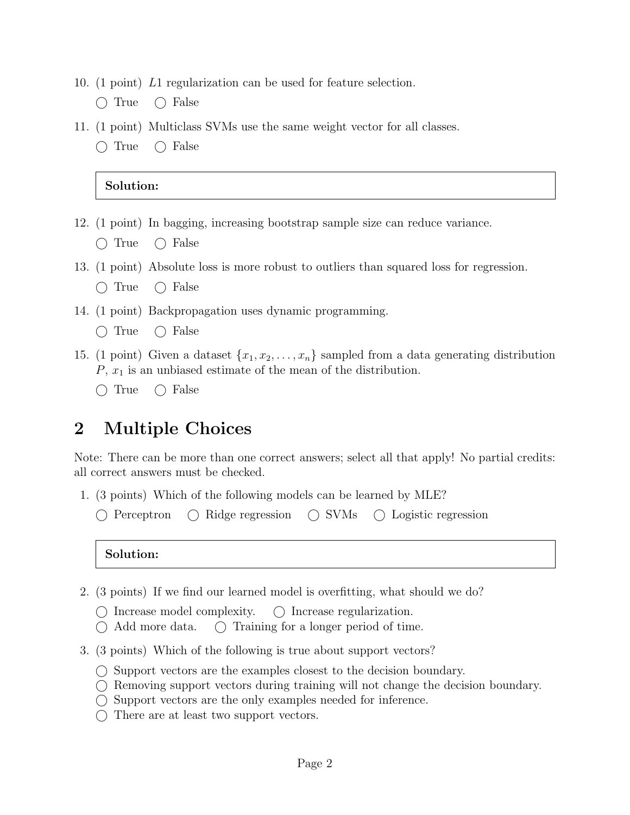- 10. (1 point) L1 regularization can be used for feature selection.
	- $\bigcap$  True  $\bigcap$  False
- 11. (1 point) Multiclass SVMs use the same weight vector for all classes.
	- $\bigcap$  True  $\bigcap$  False

- 12. (1 point) In bagging, increasing bootstrap sample size can reduce variance.
	- $\bigcirc$  True  $\bigcirc$  False
- 13. (1 point) Absolute loss is more robust to outliers than squared loss for regression.
	- $\bigcap$  True  $\bigcap$  False
- 14. (1 point) Backpropagation uses dynamic programming.
	- () True () False
- 15. (1 point) Given a dataset  $\{x_1, x_2, \ldots, x_n\}$  sampled from a data generating distribution  $P, x_1$  is an unbiased estimate of the mean of the distribution.
	- $\bigcap$  True  $\bigcap$  False

## 2 Multiple Choices

Note: There can be more than one correct answers; select all that apply! No partial credits: all correct answers must be checked.

1. (3 points) Which of the following models can be learned by MLE?

```
◯ Perceptron ◯ Ridge regression ◯ SVMs ◯ Logistic regression
```
- 2. (3 points) If we find our learned model is overfitting, what should we do?
	- $\bigcap$  Increase model complexity.  $\bigcap$  Increase regularization.
	- $\bigcirc$  Add more data.  $\bigcirc$  Training for a longer period of time.
- 3. (3 points) Which of the following is true about support vectors?
	- $\bigcirc$  Support vectors are the examples closest to the decision boundary.
	- $\bigcirc$  Removing support vectors during training will not change the decision boundary.
	- $\bigcirc$  Support vectors are the only examples needed for inference.
	- $\bigcirc$  There are at least two support vectors.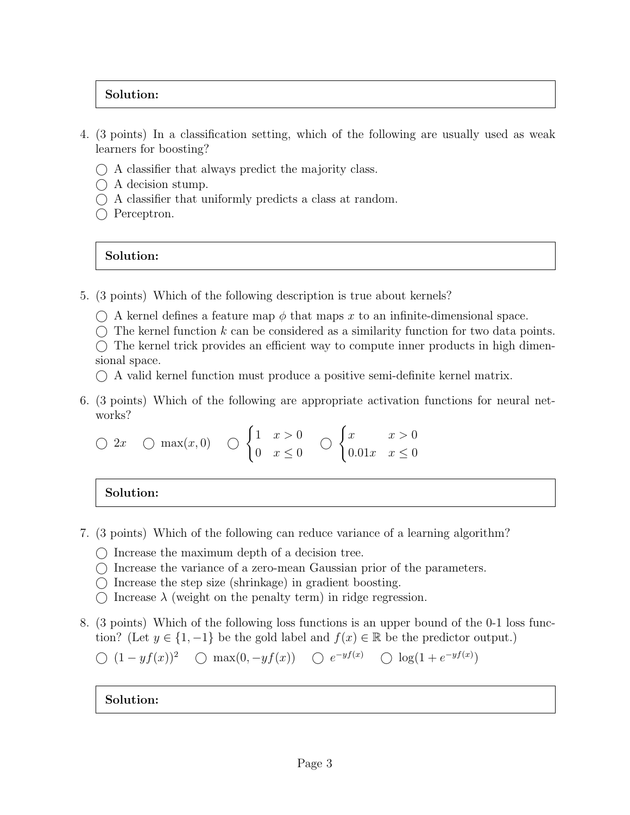- 4. (3 points) In a classification setting, which of the following are usually used as weak learners for boosting?
	- $\bigcap$  A classifier that always predict the majority class.
	- $\bigcirc$  A decision stump.
	- $\bigcap$  A classifier that uniformly predicts a class at random.
	- ◯ Perceptron.

## Solution:

- 5. (3 points) Which of the following description is true about kernels?
	- $\bigcap$  A kernel defines a feature map  $\phi$  that maps x to an infinite-dimensional space.
	- $\bigcirc$  The kernel function k can be considered as a similarity function for two data points.
	- $\bigcirc$  The kernel trick provides an efficient way to compute inner products in high dimensional space.
	- A valid kernel function must produce a positive semi-definite kernel matrix.
- 6. (3 points) Which of the following are appropriate activation functions for neural networks?

$$
\bigcirc 2x \quad \bigcirc \quad \max(x,0) \quad \bigcirc \begin{cases} 1 & x > 0 \\ 0 & x \le 0 \end{cases} \quad \bigcirc \begin{cases} x & x > 0 \\ 0.01x & x \le 0 \end{cases}
$$

## Solution:

- 7. (3 points) Which of the following can reduce variance of a learning algorithm?
	- $\bigcirc$  Increase the maximum depth of a decision tree.
	- $\bigcirc$  Increase the variance of a zero-mean Gaussian prior of the parameters.
	- $\bigcirc$  Increase the step size (shrinkage) in gradient boosting.
	- $\bigcap$  Increase  $\lambda$  (weight on the penalty term) in ridge regression.
- 8. (3 points) Which of the following loss functions is an upper bound of the 0-1 loss function? (Let  $y \in \{1, -1\}$  be the gold label and  $f(x) \in \mathbb{R}$  be the predictor output.)

 $\bigcirc$   $(1 - yf(x))^2$   $\bigcirc$  max $(0, -yf(x))$   $\bigcirc$   $e^{-yf(x)}$   $\bigcirc$  log(1+e<sup>-yf(x)</sup>)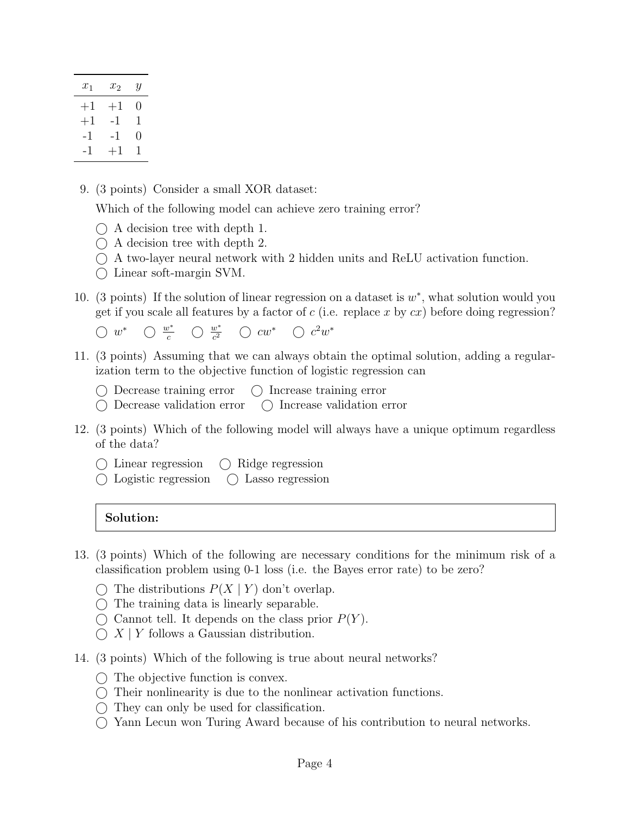| $x_1$ | $x_2$ | Y |
|-------|-------|---|
| $+1$  | $+1$  | 0 |
| $+1$  | -1    | 1 |
| -1    | -1    | 0 |
| -1    | $+1$  | 1 |

9. (3 points) Consider a small XOR dataset:

Which of the following model can achieve zero training error?

- $\bigcap$  A decision tree with depth 1.
- $\bigcap$  A decision tree with depth 2.
- $\bigcap$  A two-layer neural network with 2 hidden units and ReLU activation function.
- Linear soft-margin SVM.
- 10. (3 points) If the solution of linear regression on a dataset is  $w^*$ , what solution would you get if you scale all features by a factor of c (i.e. replace x by  $cx$ ) before doing regression?

 $\bigcirc$   $w^*$ \*  $\bigcirc \frac{w^*}{c}$   $\bigcirc \frac{w^*}{c^2}$   $\bigcirc$   $cw^*$   $\bigcirc$   $c^2w^*$ 

- 11. (3 points) Assuming that we can always obtain the optimal solution, adding a regularization term to the objective function of logistic regression can
	- ◯ Decrease training error ◯ Increase training error
	- ◯ Decrease validation error ◯ Increase validation error
- 12. (3 points) Which of the following model will always have a unique optimum regardless of the data?
	- ◯ Linear regression ◯ Ridge regression
	- Logistic regression Lasso regression

- 13. (3 points) Which of the following are necessary conditions for the minimum risk of a classification problem using 0-1 loss (i.e. the Bayes error rate) to be zero?
	- $\bigcap$  The distributions  $P(X | Y)$  don't overlap.
	- $\bigcirc$  The training data is linearly separable.
	- $\bigcirc$  Cannot tell. It depends on the class prior  $P(Y)$ .
	- $\bigcap X \mid Y$  follows a Gaussian distribution.
- 14. (3 points) Which of the following is true about neural networks?
	- $\bigcap$  The objective function is convex.
	- $\bigcap$  Their nonlinearity is due to the nonlinear activation functions.
	- $\bigcirc$  They can only be used for classification.
	- Yann Lecun won Turing Award because of his contribution to neural networks.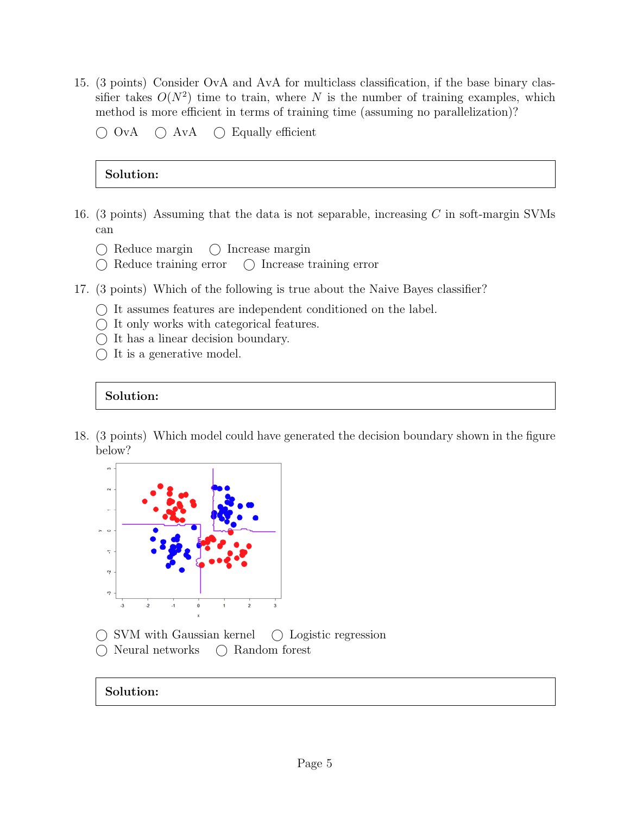15. (3 points) Consider OvA and AvA for multiclass classification, if the base binary classifier takes  $O(N^2)$  time to train, where N is the number of training examples, which method is more efficient in terms of training time (assuming no parallelization)?

 $\bigcirc$  OvA  $\bigcirc$  AvA  $\bigcirc$  Equally efficient

### Solution:

- 16. (3 points) Assuming that the data is not separable, increasing  $C$  in soft-margin SVMs can
	- $\bigcirc$  Reduce margin  $\bigcirc$  Increase margin
	- ◯ Reduce training error ◯ Increase training error
- 17. (3 points) Which of the following is true about the Naive Bayes classifier?
	- $\bigcirc$  It assumes features are independent conditioned on the label.
	- $\bigcirc$  It only works with categorical features.
	- $\bigcap$  It has a linear decision boundary.
	- $\bigcirc$  It is a generative model.

### Solution:

18. (3 points) Which model could have generated the decision boundary shown in the figure below?



 $\bigcirc$  SVM with Gaussian kernel  $\bigcirc$  Logistic regression ◯ Neural networks ◯ Random forest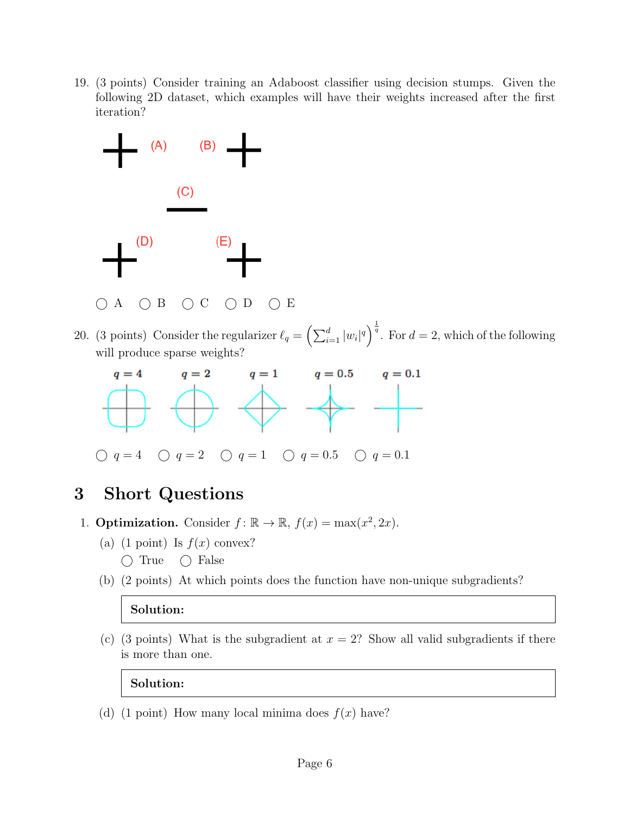19. (3 points) Consider training an Adaboost classifier using decision stumps. Given the following 2D dataset, which examples will have their weights increased after the first iteration?



20. (3 points) Consider the regularizer  $\ell_q = \left(\sum_{i=1}^d |w_i|^q\right)^{\frac{1}{q}}$ . For  $d = 2$ , which of the following will produce sparse weights?



# 3 Short Questions

- 1. **Optimization.** Consider  $f: \mathbb{R} \to \mathbb{R}$ ,  $f(x) = \max(x^2, 2x)$ .
	- (a) (1 point) Is  $f(x)$  convex?  $\bigcap$  True  $\bigcap$  False
	- (b) (2 points) At which points does the function have non-unique subgradients?

#### Solution:

(c) (3 points) What is the subgradient at  $x = 2$ ? Show all valid subgradients if there is more than one.

Solution:

(d) (1 point) How many local minima does  $f(x)$  have?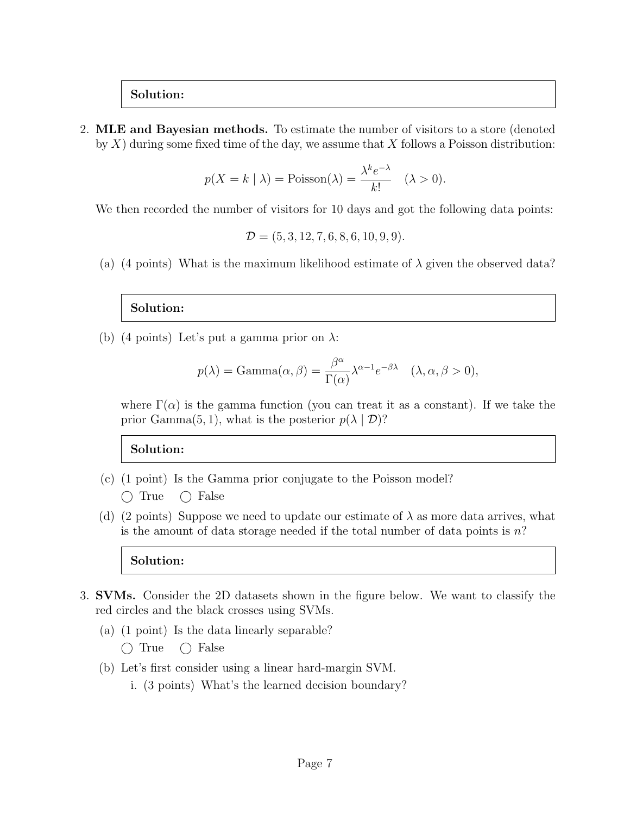2. MLE and Bayesian methods. To estimate the number of visitors to a store (denoted by  $X$ ) during some fixed time of the day, we assume that  $X$  follows a Poisson distribution:

$$
p(X = k | \lambda) = \text{Poisson}(\lambda) = \frac{\lambda^k e^{-\lambda}}{k!} \quad (\lambda > 0).
$$

We then recorded the number of visitors for 10 days and got the following data points:

$$
\mathcal{D} = (5, 3, 12, 7, 6, 8, 6, 10, 9, 9).
$$

(a) (4 points) What is the maximum likelihood estimate of  $\lambda$  given the observed data?

#### Solution:

(b) (4 points) Let's put a gamma prior on  $\lambda$ :

$$
p(\lambda) = \text{Gamma}(\alpha, \beta) = \frac{\beta^{\alpha}}{\Gamma(\alpha)} \lambda^{\alpha - 1} e^{-\beta \lambda} \quad (\lambda, \alpha, \beta > 0),
$$

where  $\Gamma(\alpha)$  is the gamma function (you can treat it as a constant). If we take the prior Gamma $(5, 1)$ , what is the posterior  $p(\lambda | \mathcal{D})$ ?

#### Solution:

- (c) (1 point) Is the Gamma prior conjugate to the Poisson model?  $\bigcap$  True  $\bigcap$  False
- (d) (2 points) Suppose we need to update our estimate of  $\lambda$  as more data arrives, what is the amount of data storage needed if the total number of data points is n?

- 3. SVMs. Consider the 2D datasets shown in the figure below. We want to classify the red circles and the black crosses using SVMs.
	- (a) (1 point) Is the data linearly separable?  $\bigcap$  True  $\bigcap$  False
	- (b) Let's first consider using a linear hard-margin SVM.
		- i. (3 points) What's the learned decision boundary?